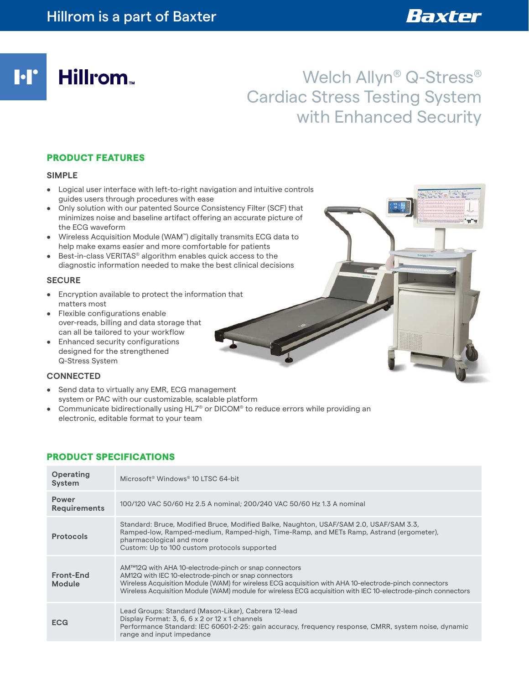**I**·I' Hillrom<sub>\*</sub>

# Welch Allyn® Q-Stress® Cardiac Stress Testing System with Enhanced Security

 $\frac{775}{96}$ 

## PRODUCT FEATURES

#### **SIMPLE**

- Logical user interface with left-to-right navigation and intuitive controls guides users through procedures with ease
- Only solution with our patented Source Consistency Filter (SCF) that minimizes noise and baseline artifact offering an accurate picture of the ECG waveform
- Wireless Acquisition Module (WAM™) digitally transmits ECG data to help make exams easier and more comfortable for patients
- Best-in-class VERITAS® algorithm enables quick access to the diagnostic information needed to make the best clinical decisions

#### **SECURE**

- Encryption available to protect the information that matters most
- Flexible configurations enable over-reads, billing and data storage that can all be tailored to your workflow
- Enhanced security configurations designed for the strengthened Q-Stress System

#### **CONNECTED**

- Send data to virtually any EMR, ECG management system or PAC with our customizable, scalable platform
- Communicate bidirectionally using HL7® or DICOM® to reduce errors while providing an electronic, editable format to your team

## PRODUCT SPECIFICATIONS

| Operating<br><b>System</b>   | Microsoft <sup>®</sup> Windows <sup>®</sup> 10 LTSC 64-bit                                                                                                                                                                                                                                                                             |
|------------------------------|----------------------------------------------------------------------------------------------------------------------------------------------------------------------------------------------------------------------------------------------------------------------------------------------------------------------------------------|
| Power<br><b>Requirements</b> | 100/120 VAC 50/60 Hz 2.5 A nominal; 200/240 VAC 50/60 Hz 1.3 A nominal                                                                                                                                                                                                                                                                 |
| <b>Protocols</b>             | Standard: Bruce, Modified Bruce, Modified Balke, Naughton, USAF/SAM 2.0, USAF/SAM 3.3,<br>Ramped-low, Ramped-medium, Ramped-high, Time-Ramp, and METs Ramp, Astrand (ergometer),<br>pharmacological and more<br>Custom: Up to 100 custom protocols supported                                                                           |
| Front-End<br>Module          | AM™12Q with AHA 10-electrode-pinch or snap connectors<br>AM12Q with IEC 10-electrode-pinch or snap connectors<br>Wireless Acquisition Module (WAM) for wireless ECG acquisition with AHA 10-electrode-pinch connectors<br>Wireless Acquisition Module (WAM) module for wireless ECG acquisition with IEC 10-electrode-pinch connectors |
| ECG                          | Lead Groups: Standard (Mason-Likar), Cabrera 12-lead<br>Display Format: 3, 6, 6 x 2 or 12 x 1 channels<br>Performance Standard: IEC 60601-2-25: gain accuracy, frequency response, CMRR, system noise, dynamic<br>range and input impedance                                                                                            |